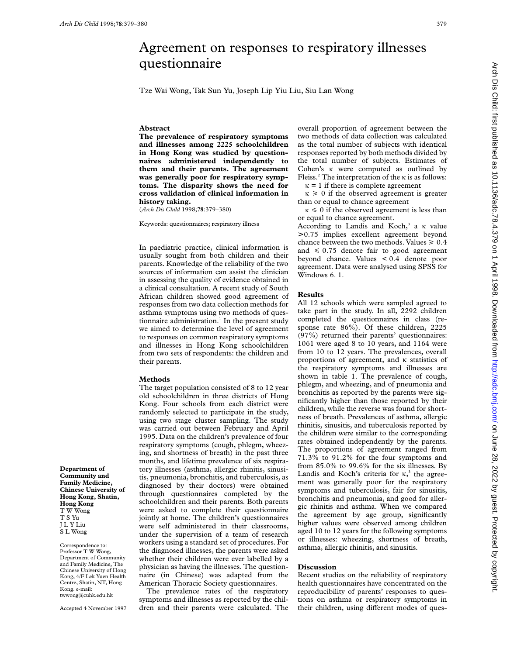# Agreement on responses to respiratory illnesses questionnaire

Tze Wai Wong, Tak Sun Yu, Joseph Lip Yiu Liu, Siu Lan Wong

## **Abstract**

**The prevalence of respiratory symptoms and illnesses among 2225 schoolchildren in Hong Kong was studied by questionnaires administered independently to them and their parents. The agreement was generally poor for respiratory symptoms. The disparity shows the need for cross validation of clinical information in history taking.**

(*Arch Dis Child* 1998;**78**:379–380)

Keywords: questionnaires; respiratory illness

In paediatric practice, clinical information is usually sought from both children and their parents. Knowledge of the reliability of the two sources of information can assist the clinician in assessing the quality of evidence obtained in a clinical consultation. A recent study of South African children showed good agreement of responses from two data collection methods for asthma symptoms using two methods of questionnaire administration.<sup>1</sup> In the present study we aimed to determine the level of agreement to responses on common respiratory symptoms and illnesses in Hong Kong schoolchildren from two sets of respondents: the children and their parents.

#### **Methods**

The target population consisted of 8 to 12 year old schoolchildren in three districts of Hong Kong. Four schools from each district were randomly selected to participate in the study, using two stage cluster sampling. The study was carried out between February and April 1995. Data on the children's prevalence of four respiratory symptoms (cough, phlegm, wheezing, and shortness of breath) in the past three months, and lifetime prevalence of six respiratory illnesses (asthma, allergic rhinitis, sinusitis, pneumonia, bronchitis, and tuberculosis, as diagnosed by their doctors) were obtained through questionnaires completed by the schoolchildren and their parents. Both parents were asked to complete their questionnaire jointly at home. The children's questionnaires were self administered in their classrooms, under the supervision of a team of research workers using a standard set of procedures. For the diagnosed illnesses, the parents were asked whether their children were ever labelled by a physician as having the illnesses. The questionnaire (in Chinese) was adapted from the American Thoracic Society questionnaires.

The prevalence rates of the respiratory symptoms and illnesses as reported by the children and their parents were calculated. The overall proportion of agreement between the two methods of data collection was calculated as the total number of subjects with identical responses reported by both methods divided by the total number of subjects. Estimates of Cohen's  $\kappa$  were computed as outlined by Fleiss.<sup>2</sup> The interpretation of the  $\kappa$  is as follows:

 $\kappa = 1$  if there is complete agreement  $\kappa \geq 0$  if the observed agreement is greater

than or equal to chance agreement

 $\kappa \leq 0$  if the observed agreement is less than or equal to chance agreement.

According to Landis and Koch, $3$  a  $\kappa$  value > 0.75 implies excellent agreement beyond chance between the two methods. Values  $\geq 0.4$ and  $\leq 0.75$  denote fair to good agreement beyond chance. Values < 0.4 denote poor agreement. Data were analysed using SPSS for Windows 6. 1.

### **Results**

All 12 schools which were sampled agreed to take part in the study. In all, 2292 children completed the questionnaires in class (response rate 86%). Of these children, 2225 (97%) returned their parents' questionnaires: 1061 were aged 8 to 10 years, and 1164 were from 10 to 12 years. The prevalences, overall proportions of agreement, and  $\kappa$  statistics of the respiratory symptoms and illnesses are shown in table 1. The prevalence of cough, phlegm, and wheezing, and of pneumonia and bronchitis as reported by the parents were significantly higher than those reported by their children, while the reverse was found for shortness of breath. Prevalences of asthma, allergic rhinitis, sinusitis, and tuberculosis reported by the children were similar to the corresponding rates obtained independently by the parents. The proportions of agreement ranged from 71.3% to 91.2% for the four symptoms and from 85.0% to 99.6% for the six illnesses. By Landis and Koch's criteria for  $\kappa$ ,<sup>3</sup> the agreement was generally poor for the respiratory symptoms and tuberculosis, fair for sinusitis, bronchitis and pneumonia, and good for allergic rhinitis and asthma. When we compared the agreement by age group, significantly higher values were observed among children aged 10 to 12 years for the following symptoms or illnesses: wheezing, shortness of breath, asthma, allergic rhinitis, and sinusitis.

## **Discussion**

Recent studies on the reliability of respiratory health questionnaires have concentrated on the reproducibility of parents' responses to questions on asthma or respiratory symptoms in their children, using different modes of quesArch Dis Child: first published as 10.1136/adc.78.4.379 on 1 April 1998. Downloaded from http://adc.bmj.com/ on June 28, 2022 by guest. Protected by copyright on June 28, 2022 by guest. Protected by copyright. <http://adc.bmj.com/> Arch Dis Child: first published as 10.1136/adc.78.4.379 on 1 April 1998. Downloaded from

**Department of Community and Family Medicine, Chinese University of Hong Kong, Shatin, Hong Kong** T W Wong T S Yu J L Y Liu S L Wong

Correspondence to: Professor T W Wong, Department of Community and Family Medicine, The Chinese University of Hong Kong, 4/F Lek Yuen Health Centre, Shatin, NT, Hong Kong. e-mail: twwong@cuhk.edu.hk

Accepted 4 November 1997